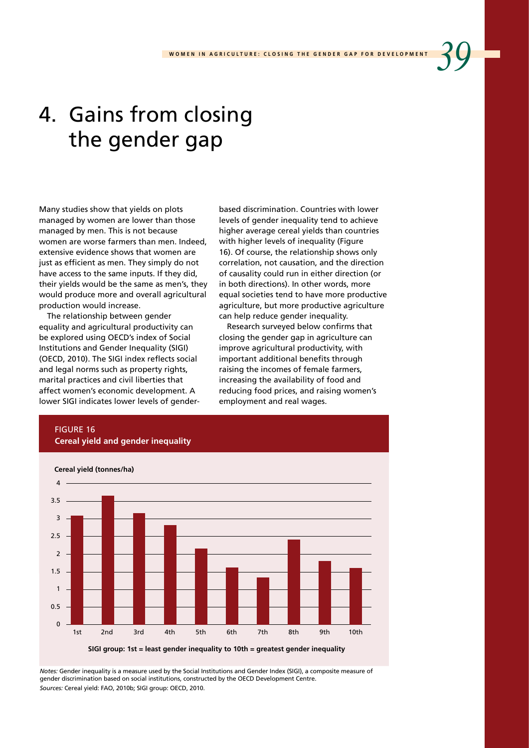# 4. Gains from closing the gender gap

Many studies show that yields on plots managed by women are lower than those managed by men. This is not because women are worse farmers than men. Indeed, extensive evidence shows that women are just as efficient as men. They simply do not have access to the same inputs. If they did, their yields would be the same as men's, they would produce more and overall agricultural production would increase.

The relationship between gender equality and agricultural productivity can be explored using OECD's index of Social Institutions and Gender Inequality (SIGI) (OECD, 2010). The SIGI index reflects social and legal norms such as property rights, marital practices and civil liberties that affect women's economic development. A lower SIGI indicates lower levels of genderbased discrimination. Countries with lower levels of gender inequality tend to achieve higher average cereal yields than countries with higher levels of inequality (Figure 16). Of course, the relationship shows only correlation, not causation, and the direction of causality could run in either direction (or in both directions). In other words, more equal societies tend to have more productive agriculture, but more productive agriculture can help reduce gender inequality.

Research surveyed below confirms that closing the gender gap in agriculture can improve agricultural productivity, with important additional benefits through raising the incomes of female farmers, increasing the availability of food and reducing food prices, and raising women's employment and real wages.

### FIGURE 16 **Cereal yield and gender inequality**



*Notes:* Gender inequality is a measure used by the Social Institutions and Gender Index (SIGI), a composite measure of gender discrimination based on social institutions, constructed by the OECD Development Centre. *Sources:* Cereal yield: FAO, 2010b; SIGI group: OECD, 2010.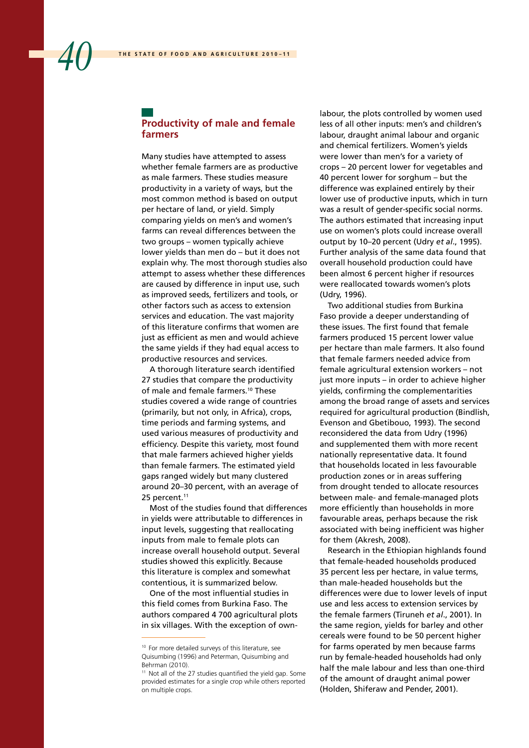#### **Productivity of male and female farmers**

Many studies have attempted to assess whether female farmers are as productive as male farmers. These studies measure productivity in a variety of ways, but the most common method is based on output per hectare of land, or yield. Simply comparing yields on men's and women's farms can reveal differences between the two groups – women typically achieve lower yields than men do – but it does not explain why. The most thorough studies also attempt to assess whether these differences are caused by difference in input use, such as improved seeds, fertilizers and tools, or other factors such as access to extension services and education. The vast majority of this literature confirms that women are just as efficient as men and would achieve the same yields if they had equal access to productive resources and services.

A thorough literature search identified 27 studies that compare the productivity of male and female farmers.<sup>10</sup> These studies covered a wide range of countries (primarily, but not only, in Africa), crops, time periods and farming systems, and used various measures of productivity and efficiency. Despite this variety, most found that male farmers achieved higher yields than female farmers. The estimated yield gaps ranged widely but many clustered around 20–30 percent, with an average of 25 percent.<sup>11</sup>

Most of the studies found that differences in yields were attributable to differences in input levels, suggesting that reallocating inputs from male to female plots can increase overall household output. Several studies showed this explicitly. Because this literature is complex and somewhat contentious, it is summarized below.

One of the most influential studies in this field comes from Burkina Faso. The authors compared 4 700 agricultural plots in six villages. With the exception of ownlabour, the plots controlled by women used less of all other inputs: men's and children's labour, draught animal labour and organic and chemical fertilizers. Women's yields were lower than men's for a variety of crops – 20 percent lower for vegetables and 40 percent lower for sorghum – but the difference was explained entirely by their lower use of productive inputs, which in turn was a result of gender-specific social norms. The authors estimated that increasing input use on women's plots could increase overall output by 10–20 percent (Udry *et al*., 1995). Further analysis of the same data found that overall household production could have been almost 6 percent higher if resources were reallocated towards women's plots (Udry, 1996).

Two additional studies from Burkina Faso provide a deeper understanding of these issues. The first found that female farmers produced 15 percent lower value per hectare than male farmers. It also found that female farmers needed advice from female agricultural extension workers – not just more inputs – in order to achieve higher yields, confirming the complementarities among the broad range of assets and services required for agricultural production (Bindlish, Evenson and Gbetibouo, 1993). The second reconsidered the data from Udry (1996) and supplemented them with more recent nationally representative data. It found that households located in less favourable production zones or in areas suffering from drought tended to allocate resources between male- and female-managed plots more efficiently than households in more favourable areas, perhaps because the risk associated with being inefficient was higher for them (Akresh, 2008).

Research in the Ethiopian highlands found that female-headed households produced 35 percent less per hectare, in value terms, than male-headed households but the differences were due to lower levels of input use and less access to extension services by the female farmers (Tiruneh *et al*., 2001). In the same region, yields for barley and other cereals were found to be 50 percent higher for farms operated by men because farms run by female-headed households had only half the male labour and less than one-third of the amount of draught animal power (Holden, Shiferaw and Pender, 2001).

<sup>10</sup> For more detailed surveys of this literature, see Quisumbing (1996) and Peterman, Quisumbing and Behrman (2010).

<sup>&</sup>lt;sup>11</sup> Not all of the 27 studies quantified the yield gap. Some provided estimates for a single crop while others reported on multiple crops.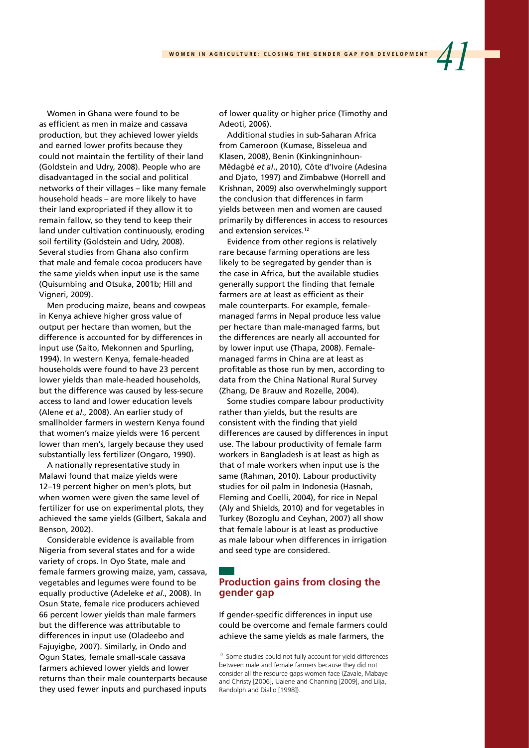Women in Ghana were found to be as efficient as men in maize and cassava production, but they achieved lower yields and earned lower profits because they could not maintain the fertility of their land (Goldstein and Udry, 2008). People who are disadvantaged in the social and political networks of their villages – like many female household heads – are more likely to have their land expropriated if they allow it to remain fallow, so they tend to keep their land under cultivation continuously, eroding soil fertility (Goldstein and Udry, 2008). Several studies from Ghana also confirm that male and female cocoa producers have the same yields when input use is the same (Quisumbing and Otsuka, 2001b; Hill and Vigneri, 2009).

Men producing maize, beans and cowpeas in Kenya achieve higher gross value of output per hectare than women, but the difference is accounted for by differences in input use (Saito, Mekonnen and Spurling, 1994). In western Kenya, female-headed households were found to have 23 percent lower yields than male-headed households, but the difference was caused by less-secure access to land and lower education levels (Alene *et al*., 2008). An earlier study of smallholder farmers in western Kenya found that women's maize yields were 16 percent lower than men's, largely because they used substantially less fertilizer (Ongaro, 1990).

A nationally representative study in Malawi found that maize yields were 12–19 percent higher on men's plots, but when women were given the same level of fertilizer for use on experimental plots, they achieved the same yields (Gilbert, Sakala and Benson, 2002).

Considerable evidence is available from Nigeria from several states and for a wide variety of crops. In Oyo State, male and female farmers growing maize, yam, cassava, vegetables and legumes were found to be equally productive (Adeleke *et al*., 2008). In Osun State, female rice producers achieved 66 percent lower yields than male farmers but the difference was attributable to differences in input use (Oladeebo and Fajuyigbe, 2007). Similarly, in Ondo and Ogun States, female small-scale cassava farmers achieved lower yields and lower returns than their male counterparts because they used fewer inputs and purchased inputs of lower quality or higher price (Timothy and Adeoti, 2006).

Additional studies in sub-Saharan Africa from Cameroon (Kumase, Bisseleua and Klasen, 2008), Benin (Kinkingninhoun-Mêdagbé *et al*., 2010), Côte d'Ivoire (Adesina and Djato, 1997) and Zimbabwe (Horrell and Krishnan, 2009) also overwhelmingly support the conclusion that differences in farm yields between men and women are caused primarily by differences in access to resources and extension services.<sup>12</sup>

Evidence from other regions is relatively rare because farming operations are less likely to be segregated by gender than is the case in Africa, but the available studies generally support the finding that female farmers are at least as efficient as their male counterparts. For example, femalemanaged farms in Nepal produce less value per hectare than male-managed farms, but the differences are nearly all accounted for by lower input use (Thapa, 2008). Femalemanaged farms in China are at least as profitable as those run by men, according to data from the China National Rural Survey (Zhang, De Brauw and Rozelle, 2004).

Some studies compare labour productivity rather than yields, but the results are consistent with the finding that yield differences are caused by differences in input use. The labour productivity of female farm workers in Bangladesh is at least as high as that of male workers when input use is the same (Rahman, 2010). Labour productivity studies for oil palm in Indonesia (Hasnah, Fleming and Coelli, 2004), for rice in Nepal (Aly and Shields, 2010) and for vegetables in Turkey (Bozoglu and Ceyhan, 2007) all show that female labour is at least as productive as male labour when differences in irrigation and seed type are considered.

#### **Production gains from closing the gender gap**

If gender-specific differences in input use could be overcome and female farmers could achieve the same yields as male farmers, the

<sup>&</sup>lt;sup>12</sup> Some studies could not fully account for yield differences between male and female farmers because they did not consider all the resource gaps women face (Zavale, Mabaye and Christy [2006], Uaiene and Channing [2009], and Lilja, Randolph and Diallo [1998]).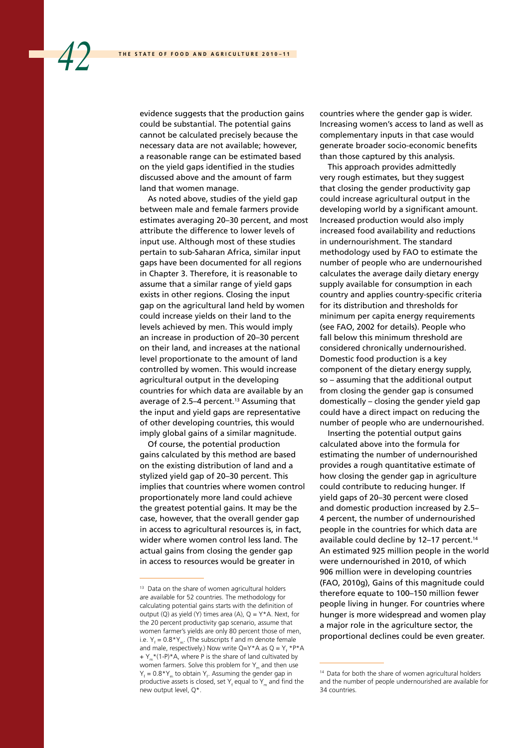evidence suggests that the production gains could be substantial. The potential gains cannot be calculated precisely because the necessary data are not available; however, a reasonable range can be estimated based on the yield gaps identified in the studies discussed above and the amount of farm land that women manage.

As noted above, studies of the yield gap between male and female farmers provide estimates averaging 20–30 percent, and most attribute the difference to lower levels of input use. Although most of these studies pertain to sub-Saharan Africa, similar input gaps have been documented for all regions in Chapter 3. Therefore, it is reasonable to assume that a similar range of yield gaps exists in other regions. Closing the input gap on the agricultural land held by women could increase yields on their land to the levels achieved by men. This would imply an increase in production of 20–30 percent on their land, and increases at the national level proportionate to the amount of land controlled by women. This would increase agricultural output in the developing countries for which data are available by an average of 2.5-4 percent.<sup>13</sup> Assuming that the input and yield gaps are representative of other developing countries, this would imply global gains of a similar magnitude.

Of course, the potential production gains calculated by this method are based on the existing distribution of land and a stylized yield gap of 20–30 percent. This implies that countries where women control proportionately more land could achieve the greatest potential gains. It may be the case, however, that the overall gender gap in access to agricultural resources is, in fact, wider where women control less land. The actual gains from closing the gender gap in access to resources would be greater in

countries where the gender gap is wider. Increasing women's access to land as well as complementary inputs in that case would generate broader socio-economic benefits than those captured by this analysis.

This approach provides admittedly very rough estimates, but they suggest that closing the gender productivity gap could increase agricultural output in the developing world by a significant amount. Increased production would also imply increased food availability and reductions in undernourishment. The standard methodology used by FAO to estimate the number of people who are undernourished calculates the average daily dietary energy supply available for consumption in each country and applies country-specific criteria for its distribution and thresholds for minimum per capita energy requirements (see FAO, 2002 for details). People who fall below this minimum threshold are considered chronically undernourished. Domestic food production is a key component of the dietary energy supply, so – assuming that the additional output from closing the gender gap is consumed domestically – closing the gender yield gap could have a direct impact on reducing the number of people who are undernourished.

Inserting the potential output gains calculated above into the formula for estimating the number of undernourished provides a rough quantitative estimate of how closing the gender gap in agriculture could contribute to reducing hunger. If yield gaps of 20–30 percent were closed and domestic production increased by 2.5– 4 percent, the number of undernourished people in the countries for which data are available could decline by 12-17 percent.<sup>14</sup> An estimated 925 million people in the world were undernourished in 2010, of which 906 million were in developing countries (FAO, 2010g), Gains of this magnitude could therefore equate to 100–150 million fewer people living in hunger. For countries where hunger is more widespread and women play a major role in the agriculture sector, the proportional declines could be even greater.

<sup>&</sup>lt;sup>13</sup> Data on the share of women agricultural holders are available for 52 countries. The methodology for calculating potential gains starts with the definition of output  $(Q)$  as yield  $(Y)$  times area  $(A)$ ,  $Q = Y^*A$ . Next, for the 20 percent productivity gap scenario, assume that women farmer's yields are only 80 percent those of men, i.e.  $Y_f = 0.8*Y_m$ . (The subscripts f and m denote female and male, respectively.) Now write  $Q = Y^*A$  as  $Q = Y_f * P^*A$  $+ Y$  \*(1-P)\*A, where P is the share of land cultivated by women farmers. Solve this problem for  $Y_m$  and then use  $Y_f = 0.8*Y_m$  to obtain  $Y_f$ . Assuming the gender gap in productive assets is closed, set  $Y_f$  equal to  $Y_m$  and find the new output level, Q\*.

<sup>&</sup>lt;sup>14</sup> Data for both the share of women agricultural holders and the number of people undernourished are available for 34 countries.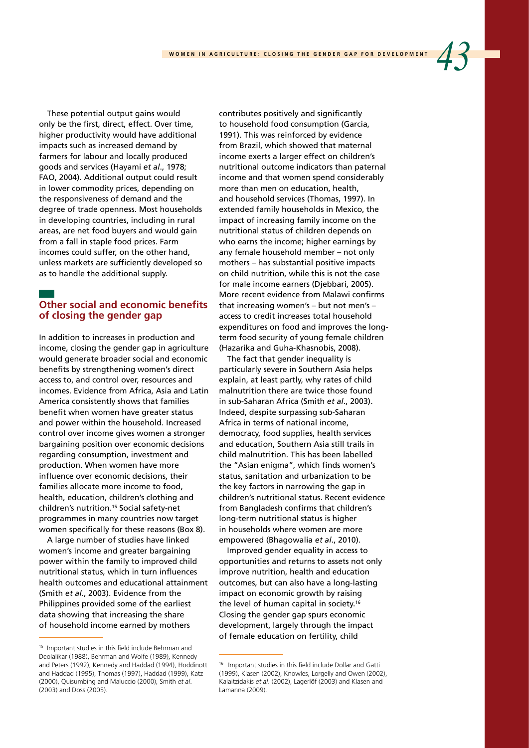These potential output gains would only be the first, direct, effect. Over time, higher productivity would have additional impacts such as increased demand by farmers for labour and locally produced goods and services (Hayami *et al*., 1978; FAO, 2004). Additional output could result in lower commodity prices, depending on the responsiveness of demand and the degree of trade openness. Most households in developing countries, including in rural areas, are net food buyers and would gain from a fall in staple food prices. Farm incomes could suffer, on the other hand, unless markets are sufficiently developed so as to handle the additional supply.

## **Other social and economic benefits of closing the gender gap**

In addition to increases in production and income, closing the gender gap in agriculture would generate broader social and economic benefits by strengthening women's direct access to, and control over, resources and incomes. Evidence from Africa, Asia and Latin America consistently shows that families benefit when women have greater status and power within the household. Increased control over income gives women a stronger bargaining position over economic decisions regarding consumption, investment and production. When women have more influence over economic decisions, their families allocate more income to food, health, education, children's clothing and children's nutrition.15 Social safety-net programmes in many countries now target women specifically for these reasons (Box 8).

A large number of studies have linked women's income and greater bargaining power within the family to improved child nutritional status, which in turn influences health outcomes and educational attainment (Smith *et al*., 2003). Evidence from the Philippines provided some of the earliest data showing that increasing the share of household income earned by mothers

contributes positively and significantly to household food consumption (Garcia, 1991). This was reinforced by evidence from Brazil, which showed that maternal income exerts a larger effect on children's nutritional outcome indicators than paternal income and that women spend considerably more than men on education, health, and household services (Thomas, 1997). In extended family households in Mexico, the impact of increasing family income on the nutritional status of children depends on who earns the income; higher earnings by any female household member – not only mothers – has substantial positive impacts on child nutrition, while this is not the case for male income earners (Djebbari, 2005). More recent evidence from Malawi confirms that increasing women's – but not men's – access to credit increases total household expenditures on food and improves the longterm food security of young female children (Hazarika and Guha-Khasnobis, 2008).

The fact that gender inequality is particularly severe in Southern Asia helps explain, at least partly, why rates of child malnutrition there are twice those found in sub-Saharan Africa (Smith *et al*., 2003). Indeed, despite surpassing sub-Saharan Africa in terms of national income, democracy, food supplies, health services and education, Southern Asia still trails in child malnutrition. This has been labelled the "Asian enigma", which finds women's status, sanitation and urbanization to be the key factors in narrowing the gap in children's nutritional status. Recent evidence from Bangladesh confirms that children's long-term nutritional status is higher in households where women are more empowered (Bhagowalia *et al*., 2010).

Improved gender equality in access to opportunities and returns to assets not only improve nutrition, health and education outcomes, but can also have a long-lasting impact on economic growth by raising the level of human capital in society.<sup>16</sup> Closing the gender gap spurs economic development, largely through the impact of female education on fertility, child

<sup>15</sup> Important studies in this field include Behrman and Deolalikar (1988), Behrman and Wolfe (1989), Kennedy and Peters (1992), Kennedy and Haddad (1994), Hoddinott and Haddad (1995), Thomas (1997), Haddad (1999), Katz (2000), Quisumbing and Maluccio (2000), Smith *et al*. (2003) and Doss (2005).

<sup>16</sup> Important studies in this field include Dollar and Gatti (1999), Klasen (2002), Knowles, Lorgelly and Owen (2002), Kalaitzidakis *et al*. (2002), Lagerlöf (2003) and Klasen and Lamanna (2009).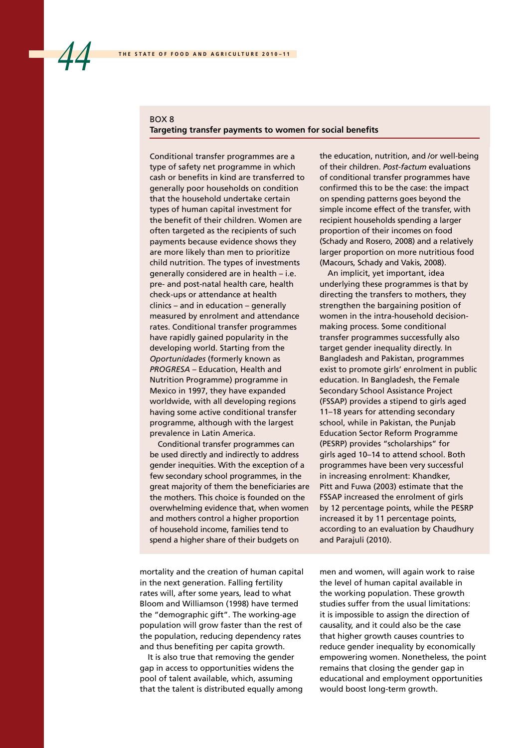#### BOX 8 **Targeting transfer payments to women for social benefits**

Conditional transfer programmes are a type of safety net programme in which cash or benefits in kind are transferred to generally poor households on condition that the household undertake certain types of human capital investment for the benefit of their children. Women are often targeted as the recipients of such payments because evidence shows they are more likely than men to prioritize child nutrition. The types of investments generally considered are in health – i.e. pre- and post-natal health care, health check-ups or attendance at health clinics – and in education – generally measured by enrolment and attendance rates. Conditional transfer programmes have rapidly gained popularity in the developing world. Starting from the *Oportunidades* (formerly known as *PROGRESA –* Education, Health and Nutrition Programme) programme in Mexico in 1997, they have expanded worldwide, with all developing regions having some active conditional transfer programme, although with the largest prevalence in Latin America.

Conditional transfer programmes can be used directly and indirectly to address gender inequities. With the exception of a few secondary school programmes, in the great majority of them the beneficiaries are the mothers. This choice is founded on the overwhelming evidence that, when women and mothers control a higher proportion of household income, families tend to spend a higher share of their budgets on

the education, nutrition, and /or well-being of their children. *Post-factum* evaluations of conditional transfer programmes have confirmed this to be the case: the impact on spending patterns goes beyond the simple income effect of the transfer, with recipient households spending a larger proportion of their incomes on food (Schady and Rosero, 2008) and a relatively larger proportion on more nutritious food (Macours, Schady and Vakis, 2008).

An implicit, yet important, idea underlying these programmes is that by directing the transfers to mothers, they strengthen the bargaining position of women in the intra-household decisionmaking process. Some conditional transfer programmes successfully also target gender inequality directly. In Bangladesh and Pakistan, programmes exist to promote girls' enrolment in public education. In Bangladesh, the Female Secondary School Assistance Project (FSSAP) provides a stipend to girls aged 11–18 years for attending secondary school, while in Pakistan, the Punjab Education Sector Reform Programme (PESRP) provides "scholarships" for girls aged 10–14 to attend school. Both programmes have been very successful in increasing enrolment: Khandker, Pitt and Fuwa (2003) estimate that the FSSAP increased the enrolment of girls by 12 percentage points, while the PESRP increased it by 11 percentage points, according to an evaluation by Chaudhury and Parajuli (2010).

mortality and the creation of human capital in the next generation. Falling fertility rates will, after some years, lead to what Bloom and Williamson (1998) have termed the "demographic gift". The working-age population will grow faster than the rest of the population, reducing dependency rates and thus benefiting per capita growth.

It is also true that removing the gender gap in access to opportunities widens the pool of talent available, which, assuming that the talent is distributed equally among men and women, will again work to raise the level of human capital available in the working population. These growth studies suffer from the usual limitations: it is impossible to assign the direction of causality, and it could also be the case that higher growth causes countries to reduce gender inequality by economically empowering women. Nonetheless, the point remains that closing the gender gap in educational and employment opportunities would boost long-term growth.